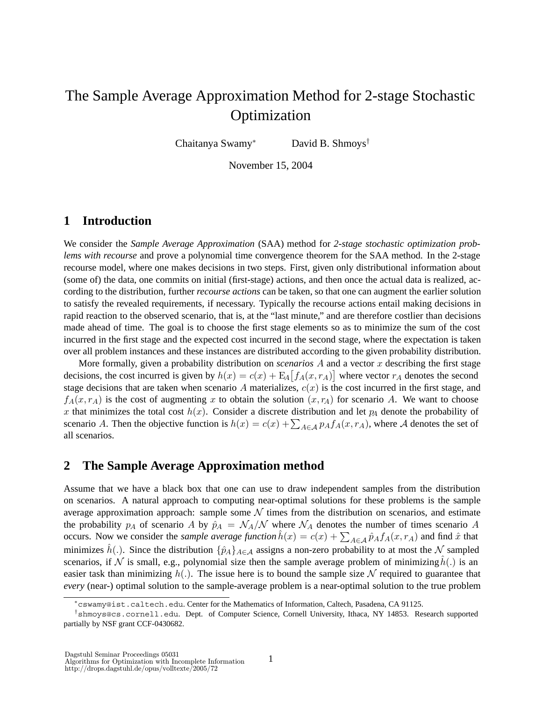# The Sample Average Approximation Method for 2-stage Stochastic Optimization

Chaitanya Swamy<sup>∗</sup> David B. Shmoys†

November 15, 2004

## **1 Introduction**

We consider the *Sample Average Approximation* (SAA) method for *2-stage stochastic optimization problems with recourse* and prove a polynomial time convergence theorem for the SAA method. In the 2-stage recourse model, where one makes decisions in two steps. First, given only distributional information about (some of) the data, one commits on initial (first-stage) actions, and then once the actual data is realized, according to the distribution, further *recourse actions* can be taken, so that one can augment the earlier solution to satisfy the revealed requirements, if necessary. Typically the recourse actions entail making decisions in rapid reaction to the observed scenario, that is, at the "last minute," and are therefore costlier than decisions made ahead of time. The goal is to choose the first stage elements so as to minimize the sum of the cost incurred in the first stage and the expected cost incurred in the second stage, where the expectation is taken over all problem instances and these instances are distributed according to the given probability distribution.

More formally, given a probability distribution on *scenarios* A and a vector x describing the first stage decisions, the cost incurred is given by  $h(x) = c(x) + \mathbb{E}_A[f_A(x, r_A)]$  where vector  $r_A$  denotes the second<br>stage decisions that are taken when scenario A materializes  $c(x)$  is the cost incurred in the first stage, and stage decisions that are taken when scenario A materializes,  $c(x)$  is the cost incurred in the first stage, and  $f_A(x, r_A)$  is the cost of augmenting x to obtain the solution  $(x, r_A)$  for scenario A. We want to choose x that minimizes the total cost  $h(x)$ . Consider a discrete distribution and let  $p<sub>A</sub>$  denote the probability of scenario A. Then the objective function is  $h(x) = c(x) + \sum_{A \in \mathcal{A}} p_A f_A(x, r_A)$ , where A denotes the set of all scenarios.

### **2 The Sample Average Approximation method**

Assume that we have a black box that one can use to draw independent samples from the distribution on scenarios. A natural approach to computing near-optimal solutions for these problems is the sample average approximation approach: sample some  $\mathcal N$  times from the distribution on scenarios, and estimate the probability  $p_A$  of scenario A by  $\hat{p}_A = \mathcal{N}_A/\mathcal{N}$  where  $\mathcal{N}_A$  denotes the number of times scenario A occurs. Now we consider the *sample average function*  $h(x) = c(x) + \sum_{A \in \mathcal{A}} \hat{p}_A f_A(x, r_A)$  and find  $\hat{x}$  that minimizes  $\hat{h}(x)$ . Since the distribution  $\hat{h}(x)$  are expressed as a proposal distribution of most the M c minimizes  $\hat{h}(.)$ . Since the distribution  $\{\hat{p}_A\}_{A\in\mathcal{A}}$  assigns a non-zero probability to at most the N sampled scenarios, if N is small, e.g., polynomial size then the sample average problem of minimizing  $h(.)$  is an easier task than minimizing  $h(.)$ . The issue here is to bound the sample size N required to guarantee that *every* (near-) optimal solution to the sample-average problem is a near-optimal solution to the true problem

<sup>∗</sup>cswamy@ist.caltech.edu. Center for the Mathematics of Information, Caltech, Pasadena, CA 91125.

<sup>†</sup>shmoys@cs.cornell.edu. Dept. of Computer Science, Cornell University, Ithaca, NY 14853. Research supported partially by NSF grant CCF-0430682.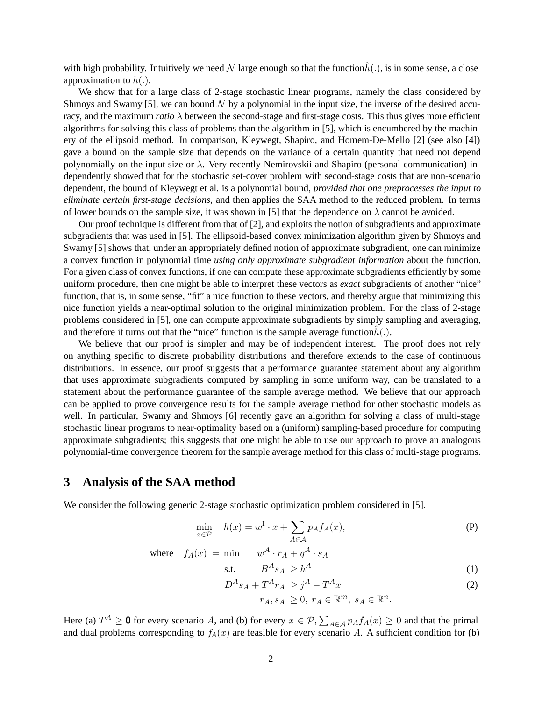with high probability. Intuitively we need N large enough so that the function $\hat{h}(.)$ , is in some sense, a close approximation to  $h(.)$ .

We show that for a large class of 2-stage stochastic linear programs, namely the class considered by Shmoys and Swamy [5], we can bound  $\mathcal N$  by a polynomial in the input size, the inverse of the desired accuracy, and the maximum *ratio* λ between the second-stage and first-stage costs. This thus gives more efficient algorithms for solving this class of problems than the algorithm in [5], which is encumbered by the machinery of the ellipsoid method. In comparison, Kleywegt, Shapiro, and Homem-De-Mello [2] (see also [4]) gave a bound on the sample size that depends on the variance of a certain quantity that need not depend polynomially on the input size or  $\lambda$ . Very recently Nemirovskii and Shapiro (personal communication) independently showed that for the stochastic set-cover problem with second-stage costs that are non-scenario dependent, the bound of Kleywegt et al. is a polynomial bound, *provided that one preprocesses the input to eliminate certain first-stage decisions*, and then applies the SAA method to the reduced problem. In terms of lower bounds on the sample size, it was shown in [5] that the dependence on  $\lambda$  cannot be avoided.

Our proof technique is different from that of [2], and exploits the notion of subgradients and approximate subgradients that was used in [5]. The ellipsoid-based convex minimization algorithm given by Shmoys and Swamy [5] shows that, under an appropriately defined notion of approximate subgradient, one can minimize a convex function in polynomial time *using only approximate subgradient information* about the function. For a given class of convex functions, if one can compute these approximate subgradients efficiently by some uniform procedure, then one might be able to interpret these vectors as *exact* subgradients of another "nice" function, that is, in some sense, "fit" a nice function to these vectors, and thereby argue that minimizing this nice function yields a near-optimal solution to the original minimization problem. For the class of 2-stage problems considered in [5], one can compute approximate subgradients by simply sampling and averaging, and therefore it turns out that the "nice" function is the sample average function $h(.)$ .

We believe that our proof is simpler and may be of independent interest. The proof does not rely on anything specific to discrete probability distributions and therefore extends to the case of continuous distributions. In essence, our proof suggests that a performance guarantee statement about any algorithm that uses approximate subgradients computed by sampling in some uniform way, can be translated to a statement about the performance guarantee of the sample average method. We believe that our approach can be applied to prove convergence results for the sample average method for other stochastic models as well. In particular, Swamy and Shmoys [6] recently gave an algorithm for solving a class of multi-stage stochastic linear programs to near-optimality based on a (uniform) sampling-based procedure for computing approximate subgradients; this suggests that one might be able to use our approach to prove an analogous polynomial-time convergence theorem for the sample average method for this class of multi-stage programs.

#### **3 Analysis of the SAA method**

We consider the following generic 2-stage stochastic optimization problem considered in [5].

$$
\min_{x \in \mathcal{P}} \quad h(x) = w^{\mathrm{I}} \cdot x + \sum_{A \in \mathcal{A}} p_A f_A(x), \tag{P}
$$

where 
$$
f_A(x) = \min \left\{ w^A \cdot r_A + q^A \cdot s_A \right\}
$$

$$
\text{s.t.} \qquad B^A s_A \ge h^A \tag{1}
$$

$$
D^{A}s_{A} + T^{A}r_{A} \geq j^{A} - T^{A}x
$$
  
\n
$$
r_{A}, s_{A} \geq 0, r_{A} \in \mathbb{R}^{m}, s_{A} \in \mathbb{R}^{n}.
$$
\n(2)

Here (a)  $T^A \ge 0$  for every scenario A, and (b) for every  $x \in \mathcal{P}$ ,  $\sum_{A \in \mathcal{A}} p_A f_A(x) \ge 0$  and that the primal and dual problems corresponding to  $f_+(x)$  are feasible for every scenario A. A sufficient condition for and dual problems corresponding to  $f_A(x)$  are feasible for every scenario A. A sufficient condition for (b)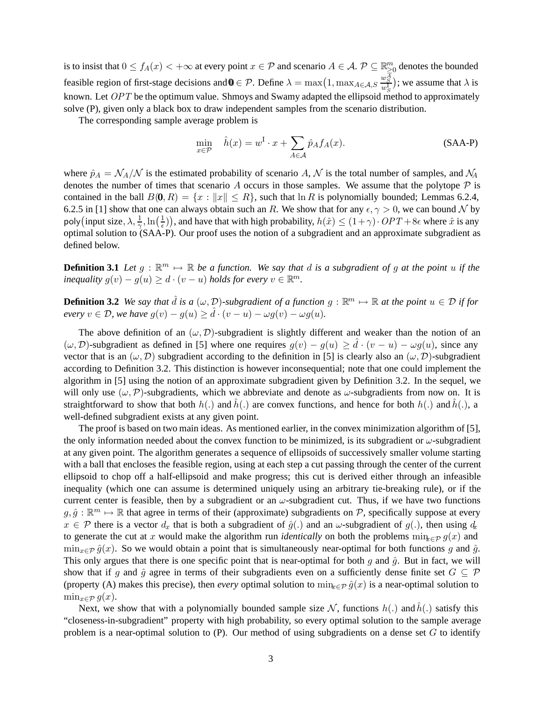is to insist that  $0 \le f_A(x) < +\infty$  at every point  $x \in \mathcal{P}$  and scenario  $A \in \mathcal{A}$ .  $\mathcal{P} \subseteq \mathbb{R}^m_{\geq 0}$  denotes the bounded feasible region of first-stage decisions and  $\mathbf{0} \in \mathcal{P}$ . Define  $\lambda = \max\left(1, \max_{A \in \mathcal{A}, S} \frac{w_S^{\overline{A}}}{w_S^{\overline{A}}} \right)$ ; we assume that  $\lambda$  is known. Let  $OPT$  be the optimum value. Shmoys and Swamy adapted the ellipsoid method to approximately solve (P), given only a black box to draw independent samples from the scenario distribution.

The corresponding sample average problem is

$$
\min_{x \in \mathcal{P}} \quad \hat{h}(x) = w^{\mathrm{I}} \cdot x + \sum_{A \in \mathcal{A}} \hat{p}_A f_A(x). \tag{SAA-P}
$$

where  $\hat{p}_A = \mathcal{N}_A/\mathcal{N}$  is the estimated probability of scenario A, N is the total number of samples, and  $\mathcal{N}_A$ denotes the number of times that scenario A occurs in those samples. We assume that the polytope  $\mathcal P$  is contained in the ball  $B(0, R) = \{x : ||x|| \le R\}$ , such that  $\ln R$  is polynomially bounded; Lemmas 6.2.4, 6.2.5 in [1] show that one can always obtain such an R. We show that for any  $\epsilon, \gamma > 0$ , we can bound N by no  $\epsilon$  is any  $\epsilon$  is any  $\epsilon$  is any  $\epsilon$  is any  $\epsilon$  is any  $\epsilon$  is any  $\epsilon$  is any  $\epsilon$  is any  $\epsilon$  is any  $\epsilon$ poly (input size,  $\lambda$ ,  $\frac{1}{\gamma}$ ,  $\ln\left(\frac{1}{\epsilon}\right)$ poly (input size,  $\lambda$ ,  $\frac{1}{\gamma}$ , ln( $\frac{1}{\epsilon}$ )), and have that with high probability,  $h(\hat{x}) \leq (1+\gamma) \cdot OPT + 8\epsilon$  where  $\hat{x}$  is any optimal solution to (SAA-P). Our proof uses the notion of a subgradient and an approxim defined below.

**Definition 3.1** *Let*  $g : \mathbb{R}^m \mapsto \mathbb{R}$  *be a function. We say that* d *is a subgradient of*  $g$  *at the point*  $u$  *if the inequality*  $g(v) - g(u) \ge d \cdot (v - u)$  *holds for every*  $v \in \mathbb{R}^m$ .

**Definition 3.2** *We say that*  $\hat{d}$  *is a* ( $\omega$ ,  $\mathcal{D}$ )*-subgradient of a function*  $g : \mathbb{R}^m \mapsto \mathbb{R}$  *at the point*  $u \in \mathcal{D}$  *if for every*  $v \in \mathcal{D}$ , *we have*  $g(x) = g(x) \ge \hat{d}_v(x, y) = g(x)$   $\omega g(x)$ *every*  $v \in \mathcal{D}$ , we have  $g(v) - g(u) \ge d \cdot (v - u) - \omega g(v) - \omega g(u)$ .

The above definition of an  $(\omega, \mathcal{D})$ -subgradient is slightly different and weaker than the notion of an  $(\omega, \mathcal{D})$ -subgradient as defined in [5] where one requires  $g(v) - g(u) \geq d \cdot (v - u) - \omega g(u)$ , since any vector that is an  $(\omega, \mathcal{D})$  subgradient according to the definition in [5] is clearly also an  $(\omega, \mathcal{D})$  subgradient vector that is an  $(\omega, \mathcal{D})$  subgradient according to the definition in [5] is clearly also an  $(\omega, \mathcal{D})$ -subgradient according to Definition 3.2. This distinction is however inconsequential; note that one could implement the algorithm in [5] using the notion of an approximate subgradient given by Definition 3.2. In the sequel, we will only use  $(\omega, \mathcal{P})$ -subgradients, which we abbreviate and denote as  $\omega$ -subgradients from now on. It is straightforward to show that both  $h(.)$  and  $h(.)$  are convex functions, and hence for both  $h(.)$  and  $h(.)$ , a well-defined subgradient exists at any given point.

The proof is based on two main ideas. As mentioned earlier, in the convex minimization algorithm of [5], the only information needed about the convex function to be minimized, is its subgradient or  $\omega$ -subgradient at any given point. The algorithm generates a sequence of ellipsoids of successively smaller volume starting with a ball that encloses the feasible region, using at each step a cut passing through the center of the current ellipsoid to chop off a half-ellipsoid and make progress; this cut is derived either through an infeasible inequality (which one can assume is determined uniquely using an arbitrary tie-breaking rule), or if the current center is feasible, then by a subgradient or an  $\omega$ -subgradient cut. Thus, if we have two functions  $g, \hat{g}: \mathbb{R}^m \mapsto \mathbb{R}$  that agree in terms of their (approximate) subgradients on P, specifically suppose at every  $x \in \mathcal{P}$  there is a vector  $d_x$  that is both a subgradient of  $\hat{g}(.)$  and an  $\omega$ -subgradient of  $g(.)$ , then using  $d_x$ to generate the cut at x would make the algorithm run *identically* on both the problems  $\min_{x \in \mathcal{P}} g(x)$  and  $\min_{x \in \mathcal{P}} \hat{g}(x)$ . So we would obtain a point that is simultaneously near-optimal for both functions g and  $\hat{g}$ . This only argues that there is one specific point that is near-optimal for both q and  $\hat{q}$ . But in fact, we will show that if g and  $\hat{q}$  agree in terms of their subgradients even on a sufficiently dense finite set  $G \subseteq \mathcal{P}$ (property (A) makes this precise), then *every* optimal solution to  $\min_{x \in \mathcal{P}} \hat{q}(x)$  is a near-optimal solution to  $\min_{x \in \mathcal{P}} g(x)$ .

Next, we show that with a polynomially bounded sample size N, functions  $h(.)$  and  $h(.)$  satisfy this "closeness-in-subgradient" property with high probability, so every optimal solution to the sample average problem is a near-optimal solution to  $(P)$ . Our method of using subgradients on a dense set  $G$  to identify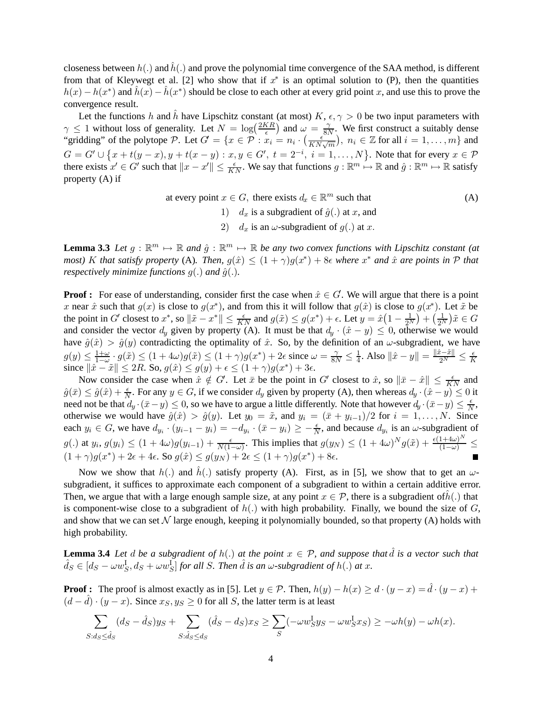closeness between  $h(.)$  and  $h(.)$  and prove the polynomial time convergence of the SAA method, is different<br>from that of Klaywest et al. [2] who show that if  $x^*$  is an optimal solution to (B), than the quantities from that of Kleywegt et al. [2] who show that if  $x^*$  is an optimal solution to (P), then the quantities  $h(x) - h(x^*)$  and  $\hat{h}(x) - \hat{h}(x^*)$  should be close to each other at every grid point x, and use this to prove the convergence result.

Let the functions h and h have Lipschitz constant (at most)  $K$ ,  $\epsilon$ ,  $\gamma > 0$  be two input parameters with  $\epsilon$  1 without loss of generality. Let  $N = \log(\frac{2KR}{R})$  and  $\epsilon$   $\epsilon$   $\gamma$ . We first construct a suitably dense  $\gamma \leq 1$  without loss of generality. Let  $N = \log(\frac{2KR}{\epsilon})$  and  $\omega = \frac{\gamma}{8N}$ . We first construct a suitably dense<br>"gridding" of the polytone  $\mathcal{D}$ . Let  $C' = \{x \in \mathcal{D} : x_1 = y_1 \}$ .  $\left(\frac{\epsilon}{\epsilon}\right)$ ,  $y_1 \in \mathbb{Z}$  for all "gridding" of the polytope P. Let  $G' = \{x \in \overline{P} : x_i = n_i \cdot (\frac{\epsilon^{S(Y)}}{KN\sqrt{m}}), n_i \in \mathbb{Z} \text{ for all } i = 1, ..., m\}$  and  $G = G' \cup \{x + t(y - x), y + t(x - y) : x, y \in G', t = 2^{-i}, i = 1, ..., N\}$ . Note that for every  $x \in \mathcal{P}$ <br>there exists  $x' \in G'$  such that  $||x - x'|| < \epsilon$ . We say that functions  $g : \mathbb{P}^m \mapsto \mathbb{P}$  and  $\hat{g} : \mathbb{P}^m \mapsto \mathbb{P}$  satisfy there exists  $x' \in G'$  such that  $||x - x'|| \le \frac{\epsilon}{KN}$ . We say that functions  $g : \mathbb{R}^m \mapsto \mathbb{R}$  and  $\hat{g} : \mathbb{R}^m \mapsto \mathbb{R}$  satisfy property (A) if

at every point 
$$
x \in G
$$
, there exists  $d_x \in \mathbb{R}^m$  such that  
\n1)  $d_x$  is a subgradient of  $\hat{g}(.)$  at x, and  
\n2)  $d_x$  is an  $\omega$ -subgradient of  $g(.)$  at x.

**Lemma 3.3** Let  $g : \mathbb{R}^m \mapsto \mathbb{R}$  and  $\hat{g} : \mathbb{R}^m \mapsto \mathbb{R}$  be any two convex functions with Lipschitz constant (at *most)* K *that satisfy property* (A). Then,  $g(\hat{x}) \leq (1 + \gamma)g(x^*) + 8\epsilon$  where  $x^*$  and  $\hat{x}$  are points in  $P$  *that* respectively minimize functions  $g(x)$  and  $\hat{g}(x)$ *respectively minimize functions*  $g(.)$  *and*  $\hat{g}(.)$ *.* 

**Proof :** For ease of understanding, consider first the case when  $\hat{x} \in G$ . We will argue that there is a point  $x$  near  $\hat{x}$  such that  $g(x)$  is close to  $g(x^*)$  and from this it will follow that  $g(\hat{x})$  is close to  $g(x$ x near  $\hat{x}$  such that  $g(x)$  is close to  $g(x^*)$ , and from this it will follow that  $g(\hat{x})$  is close to  $g(x^*)$ . Let  $\tilde{x}$  be the point in G' closest to  $x^*$ , so  $\|\tilde{x} - x^*\| \le \frac{\epsilon}{KN}$  and  $g(\tilde{x}) \le g(x^*) + \epsilon$ . Let  $y = \hat{x}\left(1 - \frac{1}{2^N}\right) + \left(\frac{1}{2^N}\right)\tilde{x} \in G$ <br>and consider the vector d, given by property (A). It must be that  $d_{\epsilon}$ ,  $(\hat{x} - y) \le 0$ , and consider the vector  $d_y$  given by property (A). It must be that  $d_y \cdot (\hat{x} - y) \le 0$ , otherwise we would<br>have  $\hat{a}(\hat{x}) \ge \hat{a}(y)$  contradicting the optimality of  $\hat{x}$ . So, by the definition of an usubaradient, we have have  $\hat{g}(\hat{x}) > \hat{g}(y)$  contradicting the optimality of  $\hat{x}$ . So, by the definition of an  $\omega$ -subgradient, we have  $g(y) \leq \frac{1+\omega}{1-\omega} \cdot g(\tilde{x}) \leq (1+4\omega)g(\tilde{x}) \leq (1+\gamma)g(x^*) + 2\epsilon$  since  $\omega = \frac{\gamma}{8N} \leq \frac{1}{4}$ . Also  $\|\hat{x}-y\| = \frac{\|\hat{x}-\tilde{x}\|}{2^N} \leq \frac{\epsilon}{K}$ since  $\|\hat{x} - \tilde{x}\| \leq 2R$ . So,  $g(\hat{x}) \leq g(y) + \epsilon \leq (1 + \gamma)g(x^*) + 3\epsilon$ .<br>Now consider the case when  $\hat{x} \notin C'$ . Let  $\bar{x}$  be the point in

Now consider the case when  $\hat{x} \notin G'$ . Let  $\bar{x}$  be the point in  $G'$  closest to  $\hat{x}$ , so  $\|\bar{x} - \hat{x}\| \le \frac{\epsilon}{KN}$  and  $0 \le \hat{a}(\hat{x}) + \frac{\epsilon}{N}$ . For any  $u \in G$  if we consider d, given by property (A), then whereas  $d_x(\hat{x} \hat{g}(\bar{x}) \leq \hat{g}(\hat{x}) + \frac{\epsilon}{N}$ . For any  $y \in G$ , if we consider  $d_y$  given by property (A), then whereas  $d_y \cdot (\hat{x} - y) \leq 0$  it need not be that  $d_y \cdot (\bar{x} - y) \leq 0$  so we have to argue a little differently. Note that howeve need not be that  $d_y \cdot (\bar{x}-y) \le 0$ , so we have to argue a little differently. Note that however  $d_y \cdot (\bar{x}-y) \le \frac{\epsilon}{N}$ , otherwise we would have  $\hat{g}(\hat{x}) > \hat{g}(y)$ . Let  $y_0 = \tilde{x}$ , and  $y_i = (\bar{x} + y_{i-1})/2$  for  $i = 1, ..., N$ . Since each  $y_i \in G$ , we have  $d_{y_i} \cdot (y_{i-1} - y_i) = -d_{y_i} \cdot (\bar{x} - y_i) \ge -\frac{\epsilon}{N}$ , and because  $d_{y_i}$  is an  $\omega$ -subgradient of g(.) at  $y_i, g(y_i) \leq (1 + 4\omega)g(y_{i-1}) + \frac{\epsilon}{N(1 - 4\omega)}$  $\frac{\epsilon}{N(1-\omega)}$ . This implies that  $g(y_N) \leq (1+4\omega)^N g(\tilde{x}) + \frac{\epsilon(1+4\omega)^N}{(1-\omega)} \leq$  $(1 + \gamma)g(x^*) + 2\epsilon + 4\epsilon$ . So  $g(\hat{x}) \leq g(y_N) + 2\epsilon \leq (1 + \gamma)g(x^*) + 8\epsilon$ .

Now we show that  $h(.)$  and  $\hat{h}(.)$  satisfy property (A). First, as in [5], we show that to get an  $\omega$ subgradient, it suffices to approximate each component of a subgradient to within a certain additive error. Then, we argue that with a large enough sample size, at any point  $x \in \mathcal{P}$ , there is a subgradient ofh(.) that is component-wise close to a subgradient of  $h(.)$  with high probability. Finally, we bound the size of G, and show that we can set  $\mathcal N$  large enough, keeping it polynomially bounded, so that property (A) holds with high probability.

**Lemma 3.4** *Let* d *be a subgradient of*  $h(.)$  *at the point*  $x \in P$ *, and suppose that d is a vector such that*  $\hat{d}g \in [dg - (gg^1 - ds^2 + (gg^1 - ds^2 + ds^2)]$  for all S. Then  $\hat{d}$  is an  $\omega$  subgradient of  $h(.)$  at x.  $\hat{d}_S \in [d_S - \omega w_S^{\mathrm{I}}, d_S + \omega w_S^{\mathrm{I}}]$  for all S. Then  $\hat{d}$  is an  $\omega$ -subgradient of  $h(.)$  at x.

**Proof :** The proof is almost exactly as in [5]. Let  $y \in \mathcal{P}$ . Then,  $h(y) - h(x) \geq d \cdot (y - x) = d \cdot (y - x) + (d \cdot \hat{A}) \cdot (y - x)$ . Since  $x \in \mathcal{X} \times \mathcal{Q}$  for all S the latter term is at least.  $(d-d) \cdot (y-x)$ . Since  $x_S, y_S \ge 0$  for all S, the latter term is at least

$$
\sum_{S:d_S \leq \hat{d}_S} (d_S - \hat{d}_S) y_S + \sum_{S:\hat{d}_S \leq d_S} (\hat{d}_S - d_S) x_S \geq \sum_S (-\omega w_S^{\mathbf{I}} y_S - \omega w_S^{\mathbf{I}} x_S) \geq -\omega h(y) - \omega h(x).
$$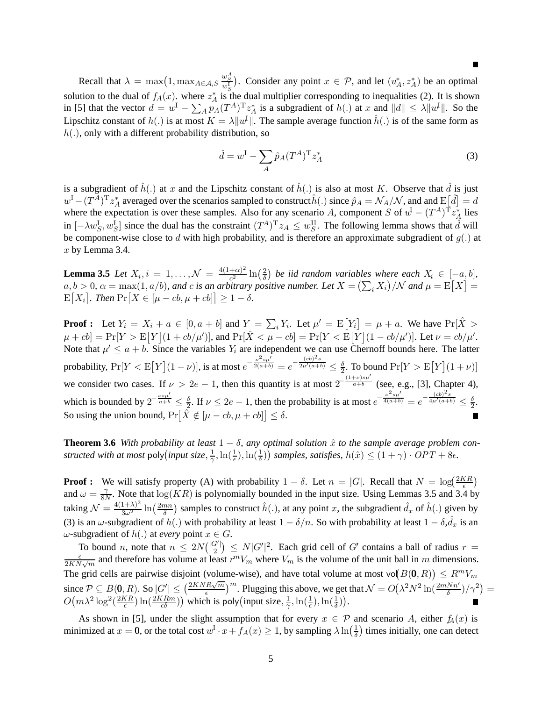Recall that  $\lambda = \max(1, \max_{A \in \mathcal{A}, S} \frac{w_S^A}{w_S^A})$ . Consider any point  $x \in \mathcal{P}$ , and let  $(u_A^*, z_A^*)$  be an optimal solution to the dual of  $f_A(x)$ . where  $z_A^*$  is the dual multiplier corresponding to inequalities (2). It is shown<br>in [5] that the vector  $d = w^I$   $\sum_{n \in \mathbb{Z}} p(A)T x^*$  is a subgradient of  $h(x)$  at x and  $||d|| \leq \lambda ||w^I||$ . S in [5] that the vector  $d = w^I - \sum_A p_A (T^A)^T z^*_A$  is a subgradient of  $h(.)$  at x and  $||d|| \le \lambda ||w^I||$ . So the Lipschitz constant of  $h(.)$  is at most  $K = \lambda ||w^I||$ . The sample average function  $\hat{h}(.)$  is of the same form as  $h(.)$  only with a different probability distribution. so  $h(.)$ , only with a different probability distribution, so

$$
\hat{d} = w^{\mathrm{I}} - \sum_{A} \hat{p}_A (T^A)^{\mathrm{T}} z_A^* \tag{3}
$$

is a subgradient of  $h(.)$  at x and the Lipschitz constant of  $h(.)$  is also at most K. Observe that d is just<br> $u^{\text{d}} - (T^A)^\text{T} z^*$  averaged over the scenarios sampled to construct  $\hat{h}(\cdot)$  since  $\hat{u}_\text{d} = \mathcal{N}_\text{d}/\math$  $w^{\text{I}} - (T^A)^{\text{T}} z_A^*$  averaged over the scenarios sampled to construct  $\hat{h}(.)$  since  $\hat{p}_A = \mathcal{N}_A/\mathcal{N}$ , and and  $E[\hat{d}] = d$ <br>where the expectation is over these samples. Also for any scenario A component S of  $v^{\text{$ where the expectation is over these samples. Also for any scenario A, component S of  $w = (T^A)^T z_A^*$  lies<br>in [A)  $w^A$  l since the dual has the constraint  $(T^{A})^T z \leq C w^{\text{III}}$ . The following large shows that  $\hat{d}$  will in  $[-\lambda w_S^{\text{I}}, w_S^{\text{I}}]$  since the dual has the constraint  $(T^A)^{\text{T}} z_A \leq w_S^{\text{II}}$ . The following lemma shows that  $\hat{d}$  will be component wise close to d with high probability, and is therefore an approximate subgradi be component-wise close to d with high probability, and is therefore an approximate subgradient of  $g(.)$  at  $x$  by Lemma 3.4.

**Lemma 3.5** *Let*  $X_i$ ,  $i = 1, ..., N = \frac{4(1+\alpha)^2}{c^2} \ln(\frac{2}{\delta})$  *be iid random variables where each*  $X_i \in [-a, b]$ ,<br> $a, b > 0$ ,  $a = \max(1, a/b)$ , and  $c$  is an arbitrary positive number *Let*  $X = (\sum X_i) / N$  and  $u = \mathbb{E}[X] =$  $a, b > 0, \alpha = \max(1, a/b)$ *, and c is an arbitrary positive number. Let*  $X = (\sum_i X_i) / N$  *and*  $\mu = \mathbb{E}[X]$ <br> $\mathbb{E}[X] = \text{Area Pr}[X \subseteq [a, a, b, a] \cup [a, b] \ge 1$  $[X_i]$ . Then  $\Pr[X \in [\mu - cb, \mu + cb]] \geq 1 - \delta$ .

**Proof :** Let  $Y_i = X_i + a \in [0, a + b]$  and  $Y = \sum_i Y_i$ . Let  $\mu' = \mathbb{E}[Y_i] = \mu + a$ . We have  $\Pr[\hat{X} > \mu + a]$ .  $\Pr[Y_i > \Pr[Y_i] = \mu + a \cdot \Pr[Y_i > \mu + a]$  $\mu + cb$  = Pr[ $Y > E[Y](1 + cb/\mu')$ ], and Pr[ $X < \mu - cb$  = Pr[ $Y < E[Y](1 - cb/\mu')$ ]. Let  $\nu = cb/\mu'$ <br>Note that  $\nu' < a + b$ . Since the variables  $Y_a$  are independent we can use Chernoff bounds here. The latter  $[Y](1+cb/\mu')$ , and  $Pr[X < \mu - cb] = Pr[Y < E[Y](1 - cb/\mu')$ . Let  $\nu = cb/\mu'$ . Note that  $\mu' \le a + b$ . Since the variables  $Y_i$  are independent we can use Chernoff bounds here. The latter probability,  $Pr[Y < E[Y](1 - \nu)]$ , is at most e  $-\frac{\nu^2 s \mu'}{2(a+b)} = e$  $-\frac{(cb)^2s}{2\mu'(a+b)} \leq \frac{\delta}{2}$ . To bound  $\Pr[Y > E[Y](1+\nu)]$ we consider two cases. If  $\nu > 2e - 1$ , then this quantity is at most  $2^{-\frac{(1+\nu)s\mu'}{a+b}}$  (see, e.g., [3], Chapter 4), which is bounded by  $2^{-\frac{\nu s \mu'}{a+b}} \leq \frac{\delta}{2}$ . If  $\nu \leq 2e - 1$ , then the probability is at most e  $e^{-\frac{\nu^2 s \mu'}{4(a+b)}} = e$  $-\frac{(cb)^2s}{4\mu'(a+b)} \leq \frac{\delta}{2}.$ So using the union bound,  $Pr[\dot{X} \notin [\mu - cb, \mu + cb]] \le \delta$ .

**Theorem 3.6** *With probability at least*  $1 - \delta$ *, any optimal solution*  $\hat{x}$  *to the sample average problem constructed with at most* poly $(\text{input size}, \frac{1}{\gamma}, \ln(\frac{1}{\epsilon}), \ln(\frac{1}{\delta}))$  *samples, satisfies,*  $h(\hat{x}) \leq (1 + \gamma) \cdot OPT + 8\epsilon$ .

**Proof :** We will satisfy property (A) with probability  $1 - \delta$ . Let  $n = |G|$ . Recall that  $N = \log(\frac{2KR}{\epsilon})$ <br>and  $\omega = \mathcal{X}$ . Note that  $\log(KR)$  is polynomially bounded in the input size. Using Lemmas 3.5 and 3.4 by and  $\omega = \frac{\gamma}{8N}$ . Note that  $\log(KR)$  is polynomially bounded in the input size. Using Lemmas 3.5 and 3.4 by taking  $\mathcal{N} = \frac{4(1+\lambda)^2}{3\omega^2} \ln\left(\frac{2mn}{\delta}\right)$  samples to construct  $\hat{h}(.)$ , at any point x, the subgradient  $\hat{d}_x$  of  $\hat{h}(.)$  given by (3) is an  $\omega$ -subgradient of  $h(.)$  with probability at least  $1 - \delta/n$ . So with probability at least  $1 - \delta, d_x$  is an  $\omega$ -subgradient of  $h(.)$  at every point  $x \in C$  $\omega$ -subgradient of h(.) at *every* point  $x \in G$ .<br>To bound x, note that  $x \le 3N(|G'|)$ .

To bound n, note that  $n \leq 2N\binom{|G'|}{2} \leq N|G'|^2$ . Each grid cell of G' contains a ball of radius  $r = \frac{\epsilon}{2KN\sqrt{m}}$  and therefore has volume at least  $r^mV_m$  where  $V_m$  is the volume of the unit ball in m dimensions. The grid cells are pairwise disjoint (volume-wise), and have total volume at most vo $(B(0, R)) \le R^m V_m$ <br>  $\sum_{n=0}^{\infty} \sum_{n=0}^{\infty} (B(n, R)) \cdot S_n |\mathcal{S}'| \le (2KNR\sqrt{m})^m$ since  $P \subseteq B(0, R)$ . So  $|G'| \leq \left(\frac{2KNR\sqrt{m}}{\epsilon}\right)^m$ . Plugging this above, we get that  $\mathcal{N} = O\left(\lambda^2 N^2 \ln\left(\frac{2mNn'}{\delta}\right)/\gamma^2\right)$  $O(m\lambda^2 \log^2(\frac{2KR}{\epsilon}) \ln(\frac{2KRm}{\epsilon \delta}))$  which is poly (input size,  $\frac{1}{\gamma}, \ln(\frac{1}{\epsilon}), \ln(\frac{1}{\delta})$ ).

As shown in [5], under the slight assumption that for every  $x \in \mathcal{P}$  and scenario A, either  $f_A(x)$  is minimized at  $x = 0$ , or the total cost  $w^I \cdot x + f_A(x) \ge 1$ , by sampling  $\lambda \ln(\frac{1}{\delta})$  times initially, one can detect